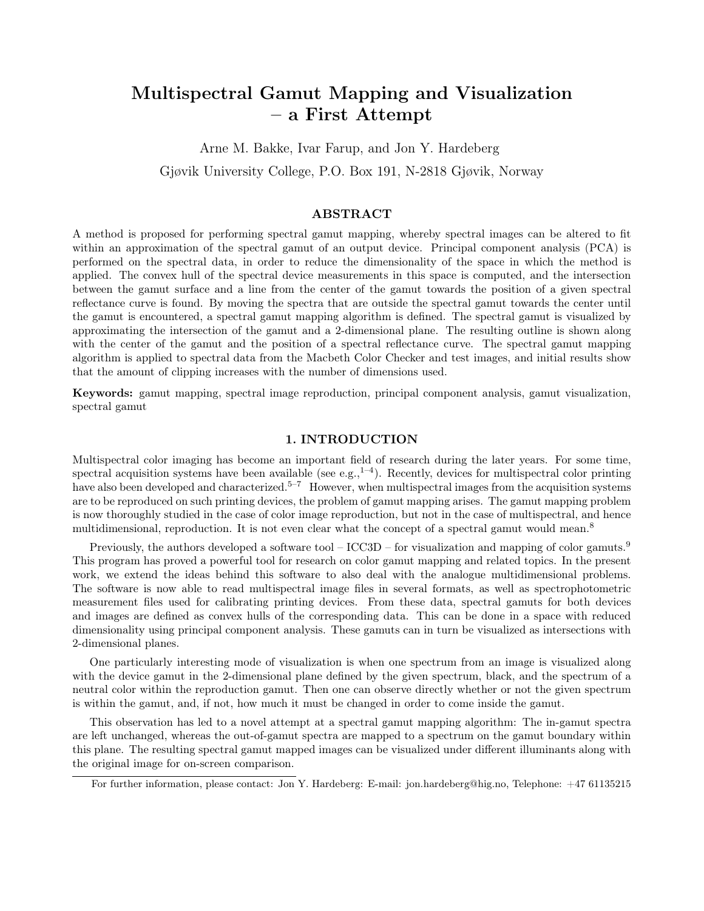# Multispectral Gamut Mapping and Visualization – a First Attempt

Arne M. Bakke, Ivar Farup, and Jon Y. Hardeberg Gjøvik University College, P.O. Box 191, N-2818 Gjøvik, Norway

# ABSTRACT

A method is proposed for performing spectral gamut mapping, whereby spectral images can be altered to fit within an approximation of the spectral gamut of an output device. Principal component analysis (PCA) is performed on the spectral data, in order to reduce the dimensionality of the space in which the method is applied. The convex hull of the spectral device measurements in this space is computed, and the intersection between the gamut surface and a line from the center of the gamut towards the position of a given spectral reflectance curve is found. By moving the spectra that are outside the spectral gamut towards the center until the gamut is encountered, a spectral gamut mapping algorithm is defined. The spectral gamut is visualized by approximating the intersection of the gamut and a 2-dimensional plane. The resulting outline is shown along with the center of the gamut and the position of a spectral reflectance curve. The spectral gamut mapping algorithm is applied to spectral data from the Macbeth Color Checker and test images, and initial results show that the amount of clipping increases with the number of dimensions used.

Keywords: gamut mapping, spectral image reproduction, principal component analysis, gamut visualization, spectral gamut

# 1. INTRODUCTION

Multispectral color imaging has become an important field of research during the later years. For some time, spectral acquisition systems have been available (see e.g., $1-4$ ). Recently, devices for multispectral color printing have also been developed and characterized.<sup>5–7</sup> However, when multispectral images from the acquisition systems are to be reproduced on such printing devices, the problem of gamut mapping arises. The gamut mapping problem is now thoroughly studied in the case of color image reproduction, but not in the case of multispectral, and hence multidimensional, reproduction. It is not even clear what the concept of a spectral gamut would mean.<sup>8</sup>

Previously, the authors developed a software tool – ICC3D – for visualization and mapping of color gamuts.<sup>9</sup> This program has proved a powerful tool for research on color gamut mapping and related topics. In the present work, we extend the ideas behind this software to also deal with the analogue multidimensional problems. The software is now able to read multispectral image files in several formats, as well as spectrophotometric measurement files used for calibrating printing devices. From these data, spectral gamuts for both devices and images are defined as convex hulls of the corresponding data. This can be done in a space with reduced dimensionality using principal component analysis. These gamuts can in turn be visualized as intersections with 2-dimensional planes.

One particularly interesting mode of visualization is when one spectrum from an image is visualized along with the device gamut in the 2-dimensional plane defined by the given spectrum, black, and the spectrum of a neutral color within the reproduction gamut. Then one can observe directly whether or not the given spectrum is within the gamut, and, if not, how much it must be changed in order to come inside the gamut.

This observation has led to a novel attempt at a spectral gamut mapping algorithm: The in-gamut spectra are left unchanged, whereas the out-of-gamut spectra are mapped to a spectrum on the gamut boundary within this plane. The resulting spectral gamut mapped images can be visualized under different illuminants along with the original image for on-screen comparison.

For further information, please contact: Jon Y. Hardeberg: E-mail: jon.hardeberg@hig.no, Telephone: +47 61135215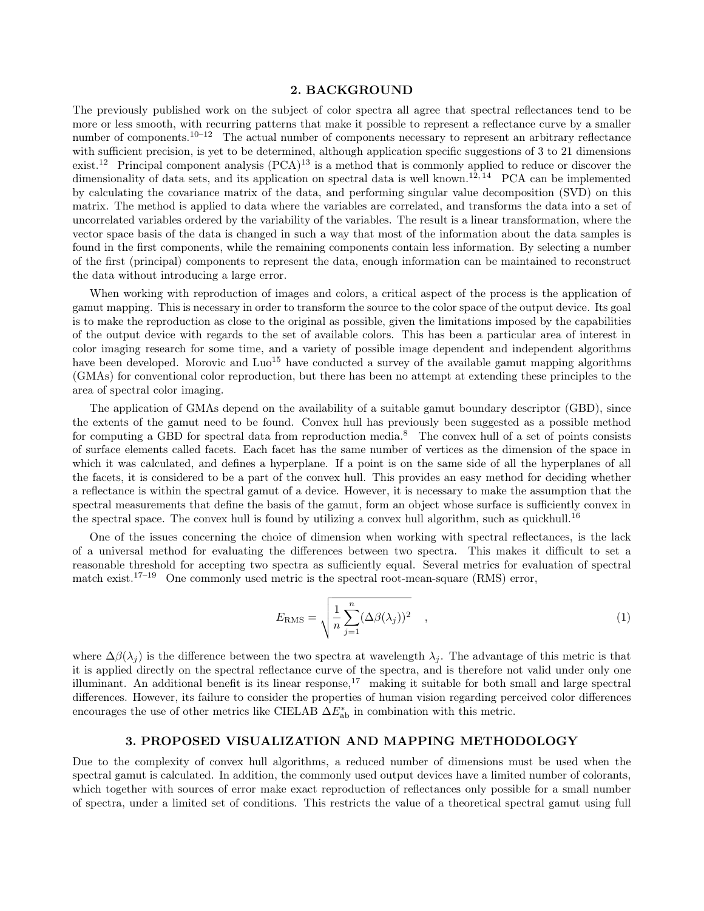# 2. BACKGROUND

The previously published work on the subject of color spectra all agree that spectral reflectances tend to be more or less smooth, with recurring patterns that make it possible to represent a reflectance curve by a smaller number of components.<sup>10–12</sup> The actual number of components necessary to represent an arbitrary reflectance with sufficient precision, is yet to be determined, although application specific suggestions of 3 to 21 dimensions exist.<sup>12</sup> Principal component analysis  $(PCA)^{13}$  is a method that is commonly applied to reduce or discover the dimensionality of data sets, and its application on spectral data is well known.<sup>12, 14</sup> PCA can be implemented by calculating the covariance matrix of the data, and performing singular value decomposition (SVD) on this matrix. The method is applied to data where the variables are correlated, and transforms the data into a set of uncorrelated variables ordered by the variability of the variables. The result is a linear transformation, where the vector space basis of the data is changed in such a way that most of the information about the data samples is found in the first components, while the remaining components contain less information. By selecting a number of the first (principal) components to represent the data, enough information can be maintained to reconstruct the data without introducing a large error.

When working with reproduction of images and colors, a critical aspect of the process is the application of gamut mapping. This is necessary in order to transform the source to the color space of the output device. Its goal is to make the reproduction as close to the original as possible, given the limitations imposed by the capabilities of the output device with regards to the set of available colors. This has been a particular area of interest in color imaging research for some time, and a variety of possible image dependent and independent algorithms have been developed. Morovic and  $\text{Lu}^{15}$  have conducted a survey of the available gamut mapping algorithms (GMAs) for conventional color reproduction, but there has been no attempt at extending these principles to the area of spectral color imaging.

The application of GMAs depend on the availability of a suitable gamut boundary descriptor (GBD), since the extents of the gamut need to be found. Convex hull has previously been suggested as a possible method for computing a GBD for spectral data from reproduction media.<sup>8</sup> The convex hull of a set of points consists of surface elements called facets. Each facet has the same number of vertices as the dimension of the space in which it was calculated, and defines a hyperplane. If a point is on the same side of all the hyperplanes of all the facets, it is considered to be a part of the convex hull. This provides an easy method for deciding whether a reflectance is within the spectral gamut of a device. However, it is necessary to make the assumption that the spectral measurements that define the basis of the gamut, form an object whose surface is sufficiently convex in the spectral space. The convex hull is found by utilizing a convex hull algorithm, such as quickhull.<sup>16</sup>

One of the issues concerning the choice of dimension when working with spectral reflectances, is the lack of a universal method for evaluating the differences between two spectra. This makes it difficult to set a reasonable threshold for accepting two spectra as sufficiently equal. Several metrics for evaluation of spectral match exist.<sup>17–19</sup> One commonly used metric is the spectral root-mean-square (RMS) error,

$$
E_{\rm RMS} = \sqrt{\frac{1}{n} \sum_{j=1}^{n} (\Delta \beta(\lambda_j))^2} \quad , \tag{1}
$$

where  $\Delta\beta(\lambda_j)$  is the difference between the two spectra at wavelength  $\lambda_j$ . The advantage of this metric is that it is applied directly on the spectral reflectance curve of the spectra, and is therefore not valid under only one illuminant. An additional benefit is its linear response,<sup>17</sup> making it suitable for both small and large spectral differences. However, its failure to consider the properties of human vision regarding perceived color differences encourages the use of other metrics like CIELAB  $\Delta E_{ab}^*$  in combination with this metric.

#### 3. PROPOSED VISUALIZATION AND MAPPING METHODOLOGY

Due to the complexity of convex hull algorithms, a reduced number of dimensions must be used when the spectral gamut is calculated. In addition, the commonly used output devices have a limited number of colorants, which together with sources of error make exact reproduction of reflectances only possible for a small number of spectra, under a limited set of conditions. This restricts the value of a theoretical spectral gamut using full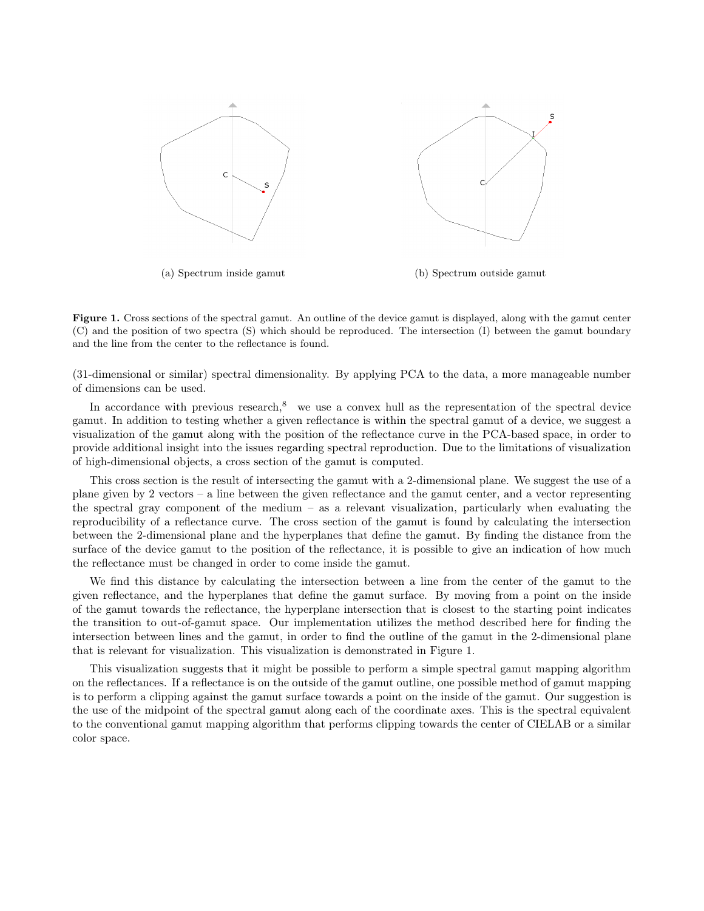

Figure 1. Cross sections of the spectral gamut. An outline of the device gamut is displayed, along with the gamut center (C) and the position of two spectra (S) which should be reproduced. The intersection (I) between the gamut boundary and the line from the center to the reflectance is found.

(31-dimensional or similar) spectral dimensionality. By applying PCA to the data, a more manageable number of dimensions can be used.

In accordance with previous research, $8$  we use a convex hull as the representation of the spectral device gamut. In addition to testing whether a given reflectance is within the spectral gamut of a device, we suggest a visualization of the gamut along with the position of the reflectance curve in the PCA-based space, in order to provide additional insight into the issues regarding spectral reproduction. Due to the limitations of visualization of high-dimensional objects, a cross section of the gamut is computed.

This cross section is the result of intersecting the gamut with a 2-dimensional plane. We suggest the use of a plane given by 2 vectors – a line between the given reflectance and the gamut center, and a vector representing the spectral gray component of the medium – as a relevant visualization, particularly when evaluating the reproducibility of a reflectance curve. The cross section of the gamut is found by calculating the intersection between the 2-dimensional plane and the hyperplanes that define the gamut. By finding the distance from the surface of the device gamut to the position of the reflectance, it is possible to give an indication of how much the reflectance must be changed in order to come inside the gamut.

We find this distance by calculating the intersection between a line from the center of the gamut to the given reflectance, and the hyperplanes that define the gamut surface. By moving from a point on the inside of the gamut towards the reflectance, the hyperplane intersection that is closest to the starting point indicates the transition to out-of-gamut space. Our implementation utilizes the method described here for finding the intersection between lines and the gamut, in order to find the outline of the gamut in the 2-dimensional plane that is relevant for visualization. This visualization is demonstrated in Figure 1.

This visualization suggests that it might be possible to perform a simple spectral gamut mapping algorithm on the reflectances. If a reflectance is on the outside of the gamut outline, one possible method of gamut mapping is to perform a clipping against the gamut surface towards a point on the inside of the gamut. Our suggestion is the use of the midpoint of the spectral gamut along each of the coordinate axes. This is the spectral equivalent to the conventional gamut mapping algorithm that performs clipping towards the center of CIELAB or a similar color space.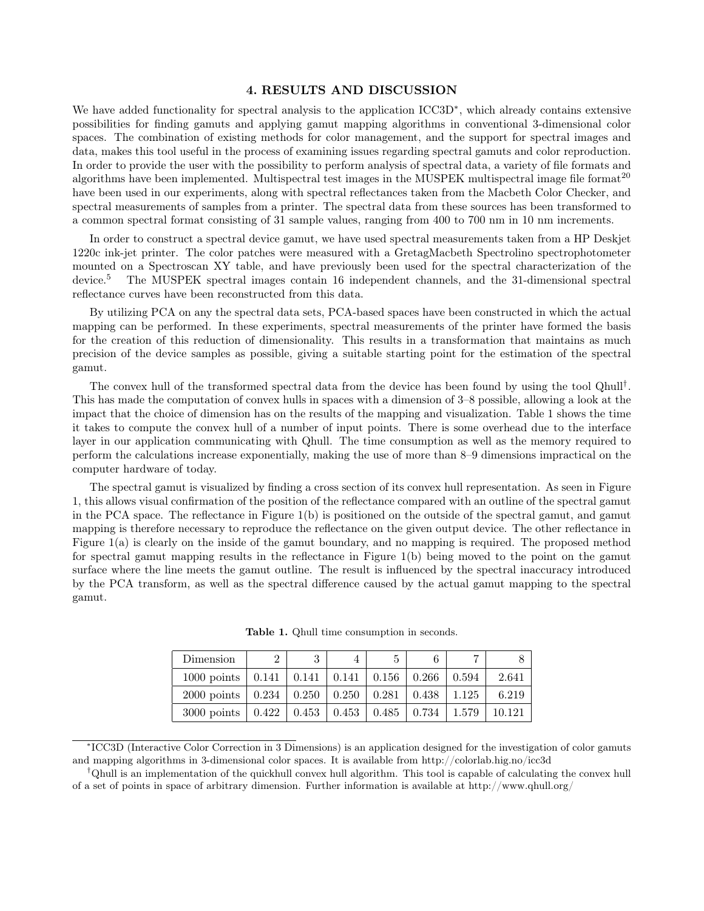## 4. RESULTS AND DISCUSSION

We have added functionality for spectral analysis to the application ICC3D<sup>∗</sup> , which already contains extensive possibilities for finding gamuts and applying gamut mapping algorithms in conventional 3-dimensional color spaces. The combination of existing methods for color management, and the support for spectral images and data, makes this tool useful in the process of examining issues regarding spectral gamuts and color reproduction. In order to provide the user with the possibility to perform analysis of spectral data, a variety of file formats and algorithms have been implemented. Multispectral test images in the MUSPEK multispectral image file format<sup>20</sup> have been used in our experiments, along with spectral reflectances taken from the Macbeth Color Checker, and spectral measurements of samples from a printer. The spectral data from these sources has been transformed to a common spectral format consisting of 31 sample values, ranging from 400 to 700 nm in 10 nm increments.

In order to construct a spectral device gamut, we have used spectral measurements taken from a HP Deskjet 1220c ink-jet printer. The color patches were measured with a GretagMacbeth Spectrolino spectrophotometer mounted on a Spectroscan XY table, and have previously been used for the spectral characterization of the device.<sup>5</sup> The MUSPEK spectral images contain 16 independent channels, and the 31-dimensional spectral reflectance curves have been reconstructed from this data.

By utilizing PCA on any the spectral data sets, PCA-based spaces have been constructed in which the actual mapping can be performed. In these experiments, spectral measurements of the printer have formed the basis for the creation of this reduction of dimensionality. This results in a transformation that maintains as much precision of the device samples as possible, giving a suitable starting point for the estimation of the spectral gamut.

The convex hull of the transformed spectral data from the device has been found by using the tool Qhull<sup>†</sup>. This has made the computation of convex hulls in spaces with a dimension of 3–8 possible, allowing a look at the impact that the choice of dimension has on the results of the mapping and visualization. Table 1 shows the time it takes to compute the convex hull of a number of input points. There is some overhead due to the interface layer in our application communicating with Qhull. The time consumption as well as the memory required to perform the calculations increase exponentially, making the use of more than 8–9 dimensions impractical on the computer hardware of today.

The spectral gamut is visualized by finding a cross section of its convex hull representation. As seen in Figure 1, this allows visual confirmation of the position of the reflectance compared with an outline of the spectral gamut in the PCA space. The reflectance in Figure 1(b) is positioned on the outside of the spectral gamut, and gamut mapping is therefore necessary to reproduce the reflectance on the given output device. The other reflectance in Figure 1(a) is clearly on the inside of the gamut boundary, and no mapping is required. The proposed method for spectral gamut mapping results in the reflectance in Figure 1(b) being moved to the point on the gamut surface where the line meets the gamut outline. The result is influenced by the spectral inaccuracy introduced by the PCA transform, as well as the spectral difference caused by the actual gamut mapping to the spectral gamut.

| Dimension                                                           | $\overline{2}$ | 2 |                                       |       |       |        |
|---------------------------------------------------------------------|----------------|---|---------------------------------------|-------|-------|--------|
| 1000 points $\vert 0.141 \vert 0.141 \vert 0.141 \vert 0.156 \vert$ |                |   |                                       | 0.266 | 0.594 | 2.641  |
| $2000 \text{ points}$   $0.234$   $0.250$   $0.250$   $0.281$       |                |   |                                       | 0.438 | 1.125 | 6.219  |
| $3000$ points                                                       |                |   | $0.422$   $0.453$   $0.453$   $0.485$ | 0.734 | 1.579 | 10.121 |

Table 1. Qhull time consumption in seconds.

<sup>∗</sup> ICC3D (Interactive Color Correction in 3 Dimensions) is an application designed for the investigation of color gamuts and mapping algorithms in 3-dimensional color spaces. It is available from http://colorlab.hig.no/icc3d

<sup>†</sup>Qhull is an implementation of the quickhull convex hull algorithm. This tool is capable of calculating the convex hull of a set of points in space of arbitrary dimension. Further information is available at http://www.qhull.org/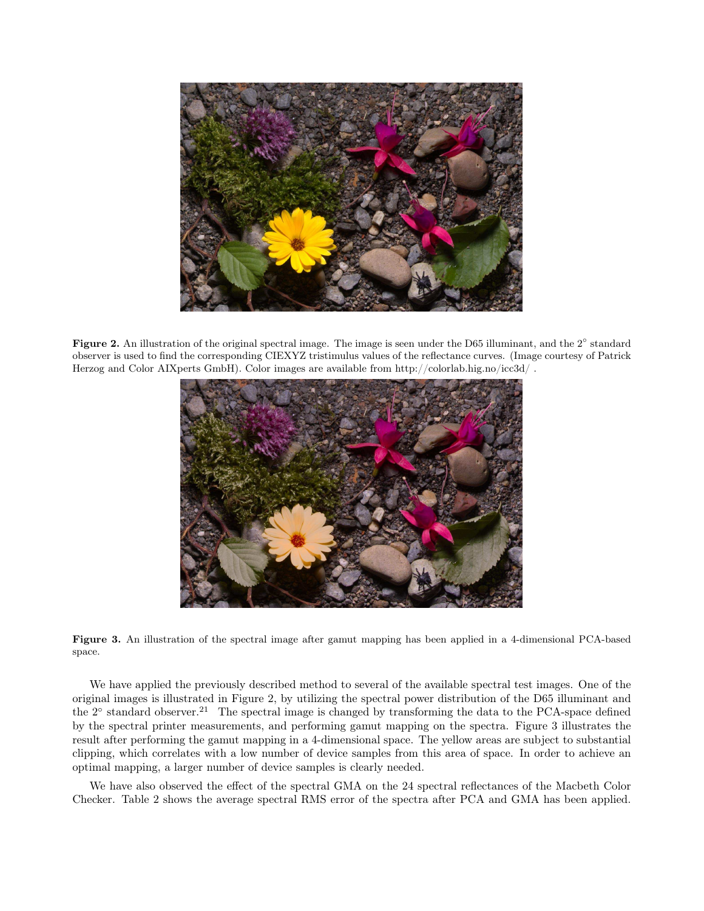

Figure 2. An illustration of the original spectral image. The image is seen under the D65 illuminant, and the 2° standard observer is used to find the corresponding CIEXYZ tristimulus values of the reflectance curves. (Image courtesy of Patrick Herzog and Color AIXperts GmbH). Color images are available from http://colorlab.hig.no/icc3d/ .



Figure 3. An illustration of the spectral image after gamut mapping has been applied in a 4-dimensional PCA-based space.

We have applied the previously described method to several of the available spectral test images. One of the original images is illustrated in Figure 2, by utilizing the spectral power distribution of the D65 illuminant and the 2° standard observer.<sup>21</sup> The spectral image is changed by transforming the data to the PCA-space defined by the spectral printer measurements, and performing gamut mapping on the spectra. Figure 3 illustrates the result after performing the gamut mapping in a 4-dimensional space. The yellow areas are subject to substantial clipping, which correlates with a low number of device samples from this area of space. In order to achieve an optimal mapping, a larger number of device samples is clearly needed.

We have also observed the effect of the spectral GMA on the 24 spectral reflectances of the Macbeth Color Checker. Table 2 shows the average spectral RMS error of the spectra after PCA and GMA has been applied.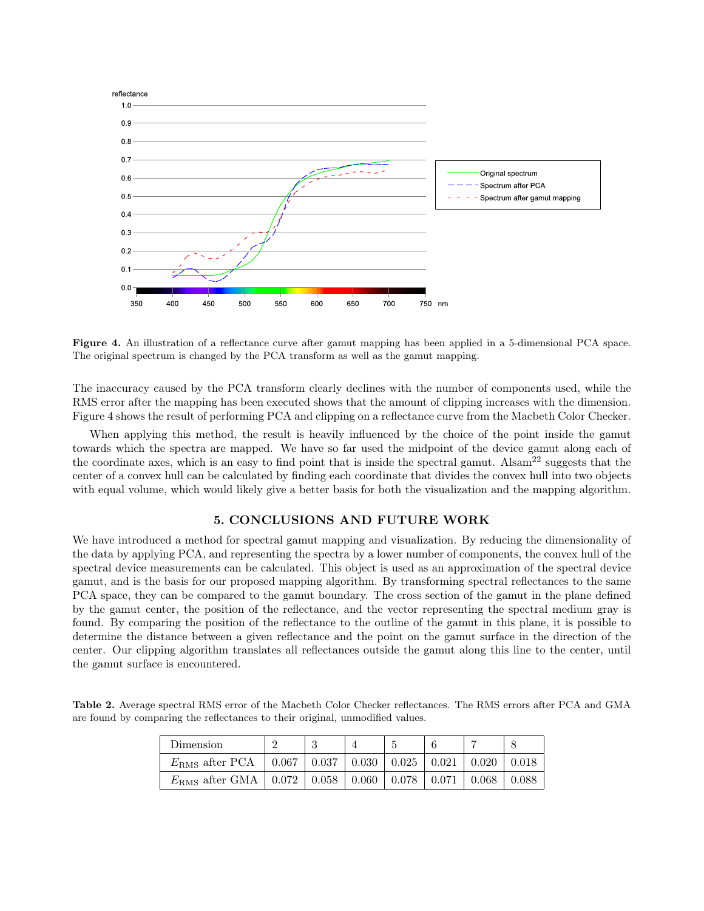

Figure 4. An illustration of a reflectance curve after gamut mapping has been applied in a 5-dimensional PCA space. The original spectrum is changed by the PCA transform as well as the gamut mapping.

The inaccuracy caused by the PCA transform clearly declines with the number of components used, while the RMS error after the mapping has been executed shows that the amount of clipping increases with the dimension. Figure 4 shows the result of performing PCA and clipping on a reflectance curve from the Macbeth Color Checker.

When applying this method, the result is heavily influenced by the choice of the point inside the gamut towards which the spectra are mapped. We have so far used the midpoint of the device gamut along each of the coordinate axes, which is an easy to find point that is inside the spectral gamut. Alsam<sup>22</sup> suggests that the center of a convex hull can be calculated by finding each coordinate that divides the convex hull into two objects with equal volume, which would likely give a better basis for both the visualization and the mapping algorithm.

# 5. CONCLUSIONS AND FUTURE WORK

We have introduced a method for spectral gamut mapping and visualization. By reducing the dimensionality of the data by applying PCA, and representing the spectra by a lower number of components, the convex hull of the spectral device measurements can be calculated. This object is used as an approximation of the spectral device gamut, and is the basis for our proposed mapping algorithm. By transforming spectral reflectances to the same PCA space, they can be compared to the gamut boundary. The cross section of the gamut in the plane defined by the gamut center, the position of the reflectance, and the vector representing the spectral medium gray is found. By comparing the position of the reflectance to the outline of the gamut in this plane, it is possible to determine the distance between a given reflectance and the point on the gamut surface in the direction of the center. Our clipping algorithm translates all reflectances outside the gamut along this line to the center, until the gamut surface is encountered.

Table 2. Average spectral RMS error of the Macbeth Color Checker reflectances. The RMS errors after PCA and GMA are found by comparing the reflectances to their original, unmodified values.

| Dimension                                                               |  |  |  |         |
|-------------------------------------------------------------------------|--|--|--|---------|
| $E_{\rm RMS}$ after PCA   0.067   0.037   0.030   0.025   0.021   0.020 |  |  |  | l 0.018 |
| $E_{\rm RMS}$ after GMA   0.072   0.058   0.060   0.078   0.071   0.068 |  |  |  | ∣ 0.088 |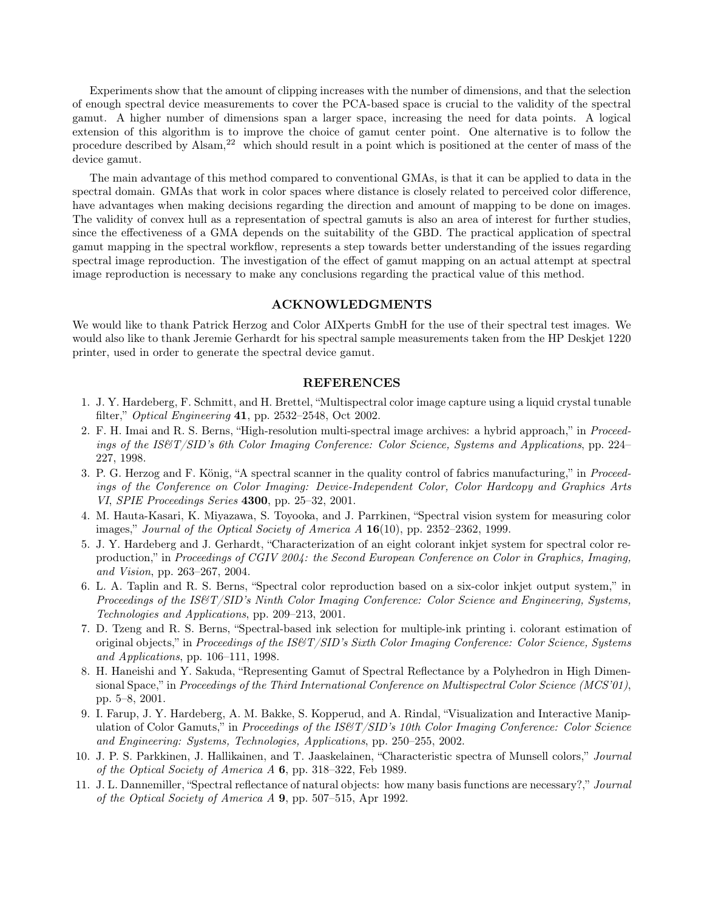Experiments show that the amount of clipping increases with the number of dimensions, and that the selection of enough spectral device measurements to cover the PCA-based space is crucial to the validity of the spectral gamut. A higher number of dimensions span a larger space, increasing the need for data points. A logical extension of this algorithm is to improve the choice of gamut center point. One alternative is to follow the procedure described by Alsam,<sup>22</sup> which should result in a point which is positioned at the center of mass of the device gamut.

The main advantage of this method compared to conventional GMAs, is that it can be applied to data in the spectral domain. GMAs that work in color spaces where distance is closely related to perceived color difference, have advantages when making decisions regarding the direction and amount of mapping to be done on images. The validity of convex hull as a representation of spectral gamuts is also an area of interest for further studies, since the effectiveness of a GMA depends on the suitability of the GBD. The practical application of spectral gamut mapping in the spectral workflow, represents a step towards better understanding of the issues regarding spectral image reproduction. The investigation of the effect of gamut mapping on an actual attempt at spectral image reproduction is necessary to make any conclusions regarding the practical value of this method.

# ACKNOWLEDGMENTS

We would like to thank Patrick Herzog and Color AIXperts GmbH for the use of their spectral test images. We would also like to thank Jeremie Gerhardt for his spectral sample measurements taken from the HP Deskjet 1220 printer, used in order to generate the spectral device gamut.

#### REFERENCES

- 1. J. Y. Hardeberg, F. Schmitt, and H. Brettel, "Multispectral color image capture using a liquid crystal tunable filter," Optical Engineering 41, pp. 2532–2548, Oct 2002.
- 2. F. H. Imai and R. S. Berns, "High-resolution multi-spectral image archives: a hybrid approach," in Proceedings of the IS&T/SID's 6th Color Imaging Conference: Color Science, Systems and Applications, pp. 224– 227, 1998.
- 3. P. G. Herzog and F. König, "A spectral scanner in the quality control of fabrics manufacturing," in Proceedings of the Conference on Color Imaging: Device-Independent Color, Color Hardcopy and Graphics Arts VI, SPIE Proceedings Series 4300, pp. 25–32, 2001.
- 4. M. Hauta-Kasari, K. Miyazawa, S. Toyooka, and J. Parrkinen, "Spectral vision system for measuring color images," Journal of the Optical Society of America  $A \mathbf{16}(10)$ , pp. 2352–2362, 1999.
- 5. J. Y. Hardeberg and J. Gerhardt, "Characterization of an eight colorant inkjet system for spectral color reproduction," in Proceedings of CGIV 2004: the Second European Conference on Color in Graphics, Imaging, and Vision, pp. 263–267, 2004.
- 6. L. A. Taplin and R. S. Berns, "Spectral color reproduction based on a six-color inkjet output system," in Proceedings of the IS&T/SID's Ninth Color Imaging Conference: Color Science and Engineering, Systems, Technologies and Applications, pp. 209–213, 2001.
- 7. D. Tzeng and R. S. Berns, "Spectral-based ink selection for multiple-ink printing i. colorant estimation of original objects," in Proceedings of the IS&T/SID's Sixth Color Imaging Conference: Color Science, Systems and Applications, pp. 106–111, 1998.
- 8. H. Haneishi and Y. Sakuda, "Representing Gamut of Spectral Reflectance by a Polyhedron in High Dimensional Space," in Proceedings of the Third International Conference on Multispectral Color Science (MCS'01), pp. 5–8, 2001.
- 9. I. Farup, J. Y. Hardeberg, A. M. Bakke, S. Kopperud, and A. Rindal, "Visualization and Interactive Manipulation of Color Gamuts," in Proceedings of the IS&T/SID's 10th Color Imaging Conference: Color Science and Engineering: Systems, Technologies, Applications, pp. 250–255, 2002.
- 10. J. P. S. Parkkinen, J. Hallikainen, and T. Jaaskelainen, "Characteristic spectra of Munsell colors," Journal of the Optical Society of America A 6, pp. 318–322, Feb 1989.
- 11. J. L. Dannemiller, "Spectral reflectance of natural objects: how many basis functions are necessary?," Journal of the Optical Society of America A 9, pp. 507–515, Apr 1992.